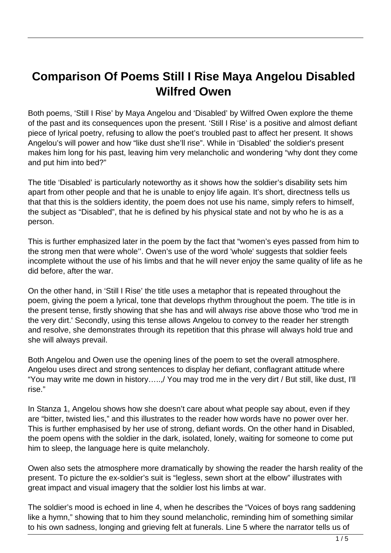## **Comparison Of Poems Still I Rise Maya Angelou Disabled Wilfred Owen**

Both poems, 'Still I Rise' by Maya Angelou and 'Disabled' by Wilfred Owen explore the theme of the past and its consequences upon the present. 'Still I Rise' is a positive and almost defiant piece of lyrical poetry, refusing to allow the poet's troubled past to affect her present. It shows Angelou's will power and how "like dust she'll rise". While in 'Disabled' the soldier's present makes him long for his past, leaving him very melancholic and wondering "why dont they come and put him into bed?"

The title 'Disabled' is particularly noteworthy as it shows how the soldier's disability sets him apart from other people and that he is unable to enjoy life again. It's short, directness tells us that that this is the soldiers identity, the poem does not use his name, simply refers to himself, the subject as "Disabled", that he is defined by his physical state and not by who he is as a person.

This is further emphasized later in the poem by the fact that "women's eyes passed from him to the strong men that were whole''. Owen's use of the word 'whole' suggests that soldier feels incomplete without the use of his limbs and that he will never enjoy the same quality of life as he did before, after the war.

On the other hand, in 'Still I Rise' the title uses a metaphor that is repeated throughout the poem, giving the poem a lyrical, tone that develops rhythm throughout the poem. The title is in the present tense, firstly showing that she has and will always rise above those who 'trod me in the very dirt.' Secondly, using this tense allows Angelou to convey to the reader her strength and resolve, she demonstrates through its repetition that this phrase will always hold true and she will always prevail.

Both Angelou and Owen use the opening lines of the poem to set the overall atmosphere. Angelou uses direct and strong sentences to display her defiant, conflagrant attitude where "You may write me down in history…..,/ You may trod me in the very dirt / But still, like dust, I'll rise."

In Stanza 1, Angelou shows how she doesn't care about what people say about, even if they are "bitter, twisted lies," and this illustrates to the reader how words have no power over her. This is further emphasised by her use of strong, defiant words. On the other hand in Disabled, the poem opens with the soldier in the dark, isolated, lonely, waiting for someone to come put him to sleep, the language here is quite melancholy.

Owen also sets the atmosphere more dramatically by showing the reader the harsh reality of the present. To picture the ex-soldier's suit is "legless, sewn short at the elbow" illustrates with great impact and visual imagery that the soldier lost his limbs at war.

The soldier's mood is echoed in line 4, when he describes the "Voices of boys rang saddening like a hymn," showing that to him they sound melancholic, reminding him of something similar to his own sadness, longing and grieving felt at funerals. Line 5 where the narrator tells us of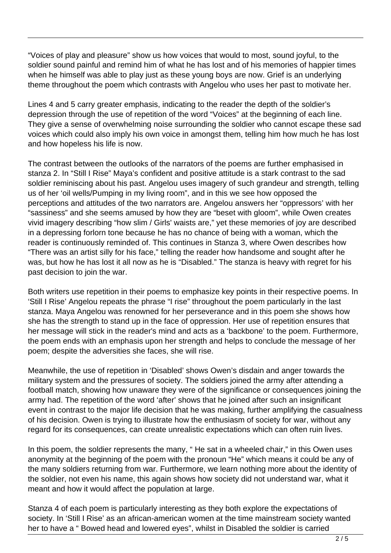"Voices of play and pleasure" show us how voices that would to most, sound joyful, to the soldier sound painful and remind him of what he has lost and of his memories of happier times when he himself was able to play just as these young boys are now. Grief is an underlying theme throughout the poem which contrasts with Angelou who uses her past to motivate her.

Lines 4 and 5 carry greater emphasis, indicating to the reader the depth of the soldier's depression through the use of repetition of the word "Voices" at the beginning of each line. They give a sense of overwhelming noise surrounding the soldier who cannot escape these sad voices which could also imply his own voice in amongst them, telling him how much he has lost and how hopeless his life is now.

The contrast between the outlooks of the narrators of the poems are further emphasised in stanza 2. In "Still I Rise" Maya's confident and positive attitude is a stark contrast to the sad soldier reminiscing about his past. Angelou uses imagery of such grandeur and strength, telling us of her 'oil wells/Pumping in my living room", and in this we see how opposed the perceptions and attitudes of the two narrators are. Angelou answers her "oppressors' with her "sassiness" and she seems amused by how they are "beset with gloom", while Owen creates vivid imagery describing "how slim / Girls' waists are," yet these memories of joy are described in a depressing forlorn tone because he has no chance of being with a woman, which the reader is continuously reminded of. This continues in Stanza 3, where Owen describes how "There was an artist silly for his face," telling the reader how handsome and sought after he was, but how he has lost it all now as he is "Disabled." The stanza is heavy with regret for his past decision to join the war.

Both writers use repetition in their poems to emphasize key points in their respective poems. In 'Still I Rise' Angelou repeats the phrase "I rise" throughout the poem particularly in the last stanza. Maya Angelou was renowned for her perseverance and in this poem she shows how she has the strength to stand up in the face of oppression. Her use of repetition ensures that her message will stick in the reader's mind and acts as a 'backbone' to the poem. Furthermore, the poem ends with an emphasis upon her strength and helps to conclude the message of her poem; despite the adversities she faces, she will rise.

Meanwhile, the use of repetition in 'Disabled' shows Owen's disdain and anger towards the military system and the pressures of society. The soldiers joined the army after attending a football match, showing how unaware they were of the significance or consequences joining the army had. The repetition of the word 'after' shows that he joined after such an insignificant event in contrast to the major life decision that he was making, further amplifying the casualness of his decision. Owen is trying to illustrate how the enthusiasm of society for war, without any regard for its consequences, can create unrealistic expectations which can often ruin lives.

In this poem, the soldier represents the many, "He sat in a wheeled chair," in this Owen uses anonymity at the beginning of the poem with the pronoun "He" which means it could be any of the many soldiers returning from war. Furthermore, we learn nothing more about the identity of the soldier, not even his name, this again shows how society did not understand war, what it meant and how it would affect the population at large.

Stanza 4 of each poem is particularly interesting as they both explore the expectations of society. In 'Still I Rise' as an african-american women at the time mainstream society wanted her to have a " Bowed head and lowered eyes", whilst in Disabled the soldier is carried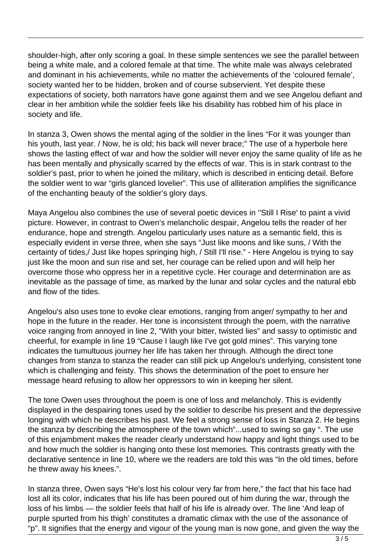shoulder-high, after only scoring a goal. In these simple sentences we see the parallel between being a white male, and a colored female at that time. The white male was always celebrated and dominant in his achievements, while no matter the achievements of the 'coloured female', society wanted her to be hidden, broken and of course subservient. Yet despite these expectations of society, both narrators have gone against them and we see Angelou defiant and clear in her ambition while the soldier feels like his disability has robbed him of his place in society and life.

In stanza 3, Owen shows the mental aging of the soldier in the lines "For it was younger than his youth, last year. / Now, he is old; his back will never brace;" The use of a hyperbole here shows the lasting effect of war and how the soldier will never enjoy the same quality of life as he has been mentally and physically scarred by the effects of war. This is in stark contrast to the soldier's past, prior to when he joined the military, which is described in enticing detail. Before the soldier went to war "girls glanced lovelier". This use of alliteration amplifies the significance of the enchanting beauty of the soldier's glory days.

Maya Angelou also combines the use of several poetic devices in ''Still I Rise' to paint a vivid picture. However, in contrast to Owen's melancholic despair, Angelou tells the reader of her endurance, hope and strength. Angelou particularly uses nature as a semantic field, this is especially evident in verse three, when she says "Just like moons and like suns, / With the certainty of tides,/ Just like hopes springing high, / Still I'll rise." - Here Angelou is trying to say just like the moon and sun rise and set, her courage can be relied upon and will help her overcome those who oppress her in a repetitive cycle. Her courage and determination are as inevitable as the passage of time, as marked by the lunar and solar cycles and the natural ebb and flow of the tides.

Angelou's also uses tone to evoke clear emotions, ranging from anger/ sympathy to her and hope in the future in the reader. Her tone is inconsistent through the poem, with the narrative voice ranging from annoyed in line 2, "With your bitter, twisted lies" and sassy to optimistic and cheerful, for example in line 19 "Cause I laugh like I've got gold mines". This varying tone indicates the tumultuous journey her life has taken her through. Although the direct tone changes from stanza to stanza the reader can still pick up Angelou's underlying, consistent tone which is challenging and feisty. This shows the determination of the poet to ensure her message heard refusing to allow her oppressors to win in keeping her silent.

The tone Owen uses throughout the poem is one of loss and melancholy. This is evidently displayed in the despairing tones used by the soldier to describe his present and the depressive longing with which he describes his past. We feel a strong sense of loss in Stanza 2. He begins the stanza by describing the atmosphere of the town which"...used to swing so gay ". The use of this enjambment makes the reader clearly understand how happy and light things used to be and how much the soldier is hanging onto these lost memories. This contrasts greatly with the declarative sentence in line 10, where we the readers are told this was "In the old times, before he threw away his knees.".

In stanza three, Owen says "He's lost his colour very far from here," the fact that his face had lost all its color, indicates that his life has been poured out of him during the war, through the loss of his limbs — the soldier feels that half of his life is already over. The line 'And leap of purple spurted from his thigh' constitutes a dramatic climax with the use of the assonance of "p". It signifies that the energy and vigour of the young man is now gone, and given the way the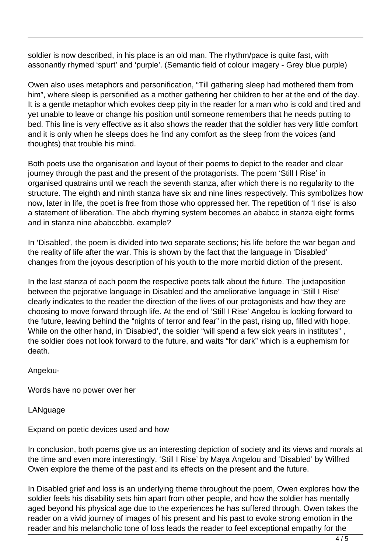soldier is now described, in his place is an old man. The rhythm/pace is quite fast, with assonantly rhymed 'spurt' and 'purple'. (Semantic field of colour imagery - Grey blue purple)

Owen also uses metaphors and personification, "Till gathering sleep had mothered them from him", where sleep is personified as a mother gathering her children to her at the end of the day. It is a gentle metaphor which evokes deep pity in the reader for a man who is cold and tired and yet unable to leave or change his position until someone remembers that he needs putting to bed. This line is very effective as it also shows the reader that the soldier has very little comfort and it is only when he sleeps does he find any comfort as the sleep from the voices (and thoughts) that trouble his mind.

Both poets use the organisation and layout of their poems to depict to the reader and clear journey through the past and the present of the protagonists. The poem 'Still I Rise' in organised quatrains until we reach the seventh stanza, after which there is no regularity to the structure. The eighth and ninth stanza have six and nine lines respectively. This symbolizes how now, later in life, the poet is free from those who oppressed her. The repetition of 'I rise' is also a statement of liberation. The abcb rhyming system becomes an ababcc in stanza eight forms and in stanza nine ababccbbb. example?

In 'Disabled', the poem is divided into two separate sections; his life before the war began and the reality of life after the war. This is shown by the fact that the language in 'Disabled' changes from the joyous description of his youth to the more morbid diction of the present.

In the last stanza of each poem the respective poets talk about the future. The juxtaposition between the pejorative language in Disabled and the ameliorative language in 'Still I Rise' clearly indicates to the reader the direction of the lives of our protagonists and how they are choosing to move forward through life. At the end of 'Still I Rise' Angelou is looking forward to the future, leaving behind the "nights of terror and fear" in the past, rising up, filled with hope. While on the other hand, in 'Disabled', the soldier "will spend a few sick years in institutes" , the soldier does not look forward to the future, and waits "for dark" which is a euphemism for death.

Angelou-

Words have no power over her

LANguage

Expand on poetic devices used and how

In conclusion, both poems give us an interesting depiction of society and its views and morals at the time and even more interestingly, 'Still I Rise' by Maya Angelou and 'Disabled' by Wilfred Owen explore the theme of the past and its effects on the present and the future.

In Disabled grief and loss is an underlying theme throughout the poem, Owen explores how the soldier feels his disability sets him apart from other people, and how the soldier has mentally aged beyond his physical age due to the experiences he has suffered through. Owen takes the reader on a vivid journey of images of his present and his past to evoke strong emotion in the reader and his melancholic tone of loss leads the reader to feel exceptional empathy for the